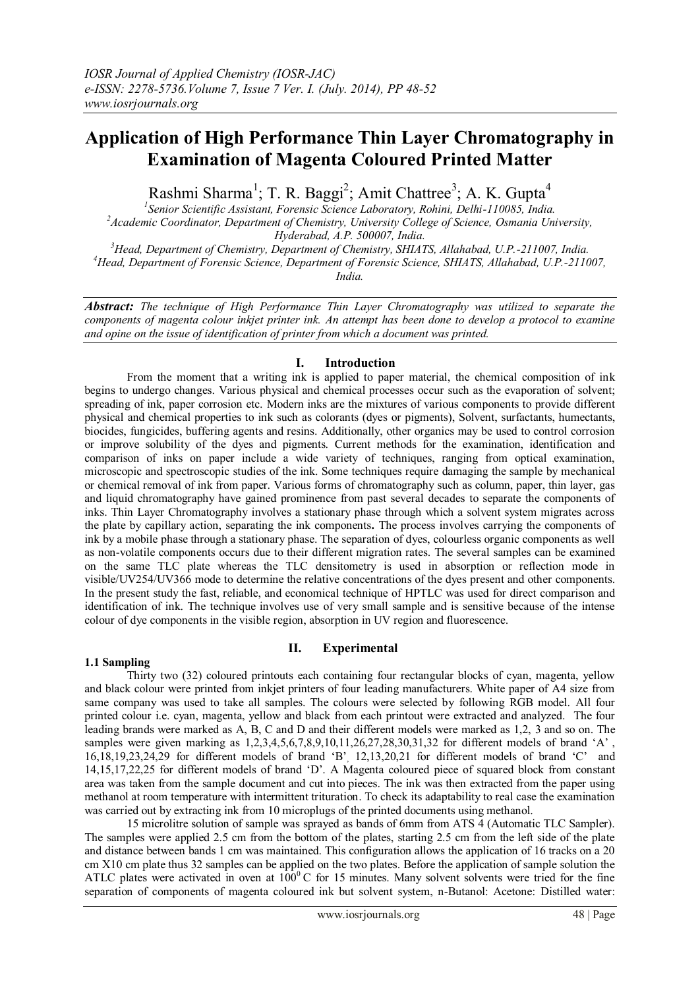# **Application of High Performance Thin Layer Chromatography in Examination of Magenta Coloured Printed Matter**

Rashmi Sharma<sup>1</sup>; T. R. Baggi<sup>2</sup>; Amit Chattree<sup>3</sup>; A. K. Gupta<sup>4</sup>

*1 Senior Scientific Assistant, Forensic Science Laboratory, Rohini, Delhi-110085, India. <sup>2</sup>Academic Coordinator, Department of Chemistry, University College of Science, Osmania University, Hyderabad, A.P. 500007, India.*

*<sup>3</sup>Head, Department of Chemistry, Department of Chemistry, SHIATS, Allahabad, U.P.-211007, India. <sup>4</sup>Head, Department of Forensic Science, Department of Forensic Science, SHIATS, Allahabad, U.P.-211007, India.*

*Abstract: The technique of High Performance Thin Layer Chromatography was utilized to separate the components of magenta colour inkjet printer ink. An attempt has been done to develop a protocol to examine and opine on the issue of identification of printer from which a document was printed.* 

## **I. Introduction**

From the moment that a writing ink is applied to paper material, the chemical composition of ink begins to undergo changes. Various physical and chemical processes occur such as the evaporation of solvent; spreading of ink, paper corrosion etc. Modern inks are the mixtures of various components to provide different physical and chemical properties to ink such as colorants (dyes or pigments), Solvent, surfactants, humectants, biocides, fungicides, buffering agents and resins. Additionally, other organics may be used to control corrosion or improve solubility of the dyes and pigments. Current methods for the examination, identification and comparison of inks on paper include a wide variety of techniques, ranging from optical examination, microscopic and spectroscopic studies of the ink. Some techniques require damaging the sample by mechanical or chemical removal of ink from paper. Various forms of chromatography such as column, paper, thin layer, gas and liquid chromatography have gained prominence from past several decades to separate the components of inks. Thin Layer Chromatography involves a stationary phase through which a solvent system migrates across the plate by capillary action, separating the ink components**.** The process involves carrying the components of ink by a mobile phase through a stationary phase. The separation of dyes, colourless organic components as well as non-volatile components occurs due to their different migration rates. The several samples can be examined on the same TLC plate whereas the TLC densitometry is used in absorption or reflection mode in visible/UV254/UV366 mode to determine the relative concentrations of the dyes present and other components. In the present study the fast, reliable, and economical technique of HPTLC was used for direct comparison and identification of ink. The technique involves use of very small sample and is sensitive because of the intense colour of dye components in the visible region, absorption in UV region and fluorescence.

## **1.1 Sampling**

## **II. Experimental**

Thirty two (32) coloured printouts each containing four rectangular blocks of cyan, magenta, yellow and black colour were printed from inkjet printers of four leading manufacturers. White paper of A4 size from same company was used to take all samples. The colours were selected by following RGB model. All four printed colour i.e. cyan, magenta, yellow and black from each printout were extracted and analyzed. The four leading brands were marked as A, B, C and D and their different models were marked as 1,2, 3 and so on. The samples were given marking as 1,2,3,4,5,6,7,8,9,10,11,26,27,28,30,31,32 for different models of brand 'A', 16,18,19,23,24,29 for different models of brand 'B', 12,13,20,21 for different models of brand 'C' and 14,15,17,22,25 for different models of brand 'D'. A Magenta coloured piece of squared block from constant area was taken from the sample document and cut into pieces. The ink was then extracted from the paper using methanol at room temperature with intermittent trituration. To check its adaptability to real case the examination was carried out by extracting ink from 10 microplugs of the printed documents using methanol.

15 microlitre solution of sample was sprayed as bands of 6mm from ATS 4 (Automatic TLC Sampler). The samples were applied 2.5 cm from the bottom of the plates, starting 2.5 cm from the left side of the plate and distance between bands 1 cm was maintained. This configuration allows the application of 16 tracks on a 20 cm X10 cm plate thus 32 samples can be applied on the two plates. Before the application of sample solution the ATLC plates were activated in oven at  $100^{\circ}$ C for 15 minutes. Many solvent solvents were tried for the fine separation of components of magenta coloured ink but solvent system, n-Butanol: Acetone: Distilled water: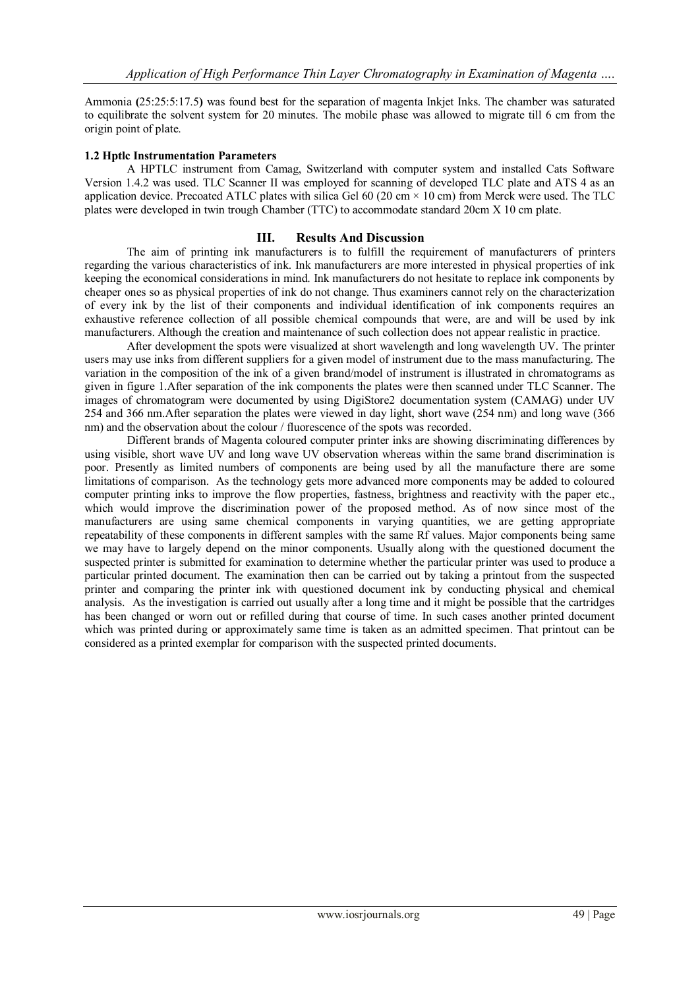Ammonia **(**25:25:5:17.5**)** was found best for the separation of magenta Inkjet Inks. The chamber was saturated to equilibrate the solvent system for 20 minutes. The mobile phase was allowed to migrate till 6 cm from the origin point of plate.

### **1.2 Hptlc Instrumentation Parameters**

A HPTLC instrument from Camag, Switzerland with computer system and installed Cats Software Version 1.4.2 was used. TLC Scanner II was employed for scanning of developed TLC plate and ATS 4 as an application device. Precoated ATLC plates with silica Gel  $60$  (20 cm  $\times$  10 cm) from Merck were used. The TLC plates were developed in twin trough Chamber (TTC) to accommodate standard 20cm X 10 cm plate.

### **III. Results And Discussion**

The aim of printing ink manufacturers is to fulfill the requirement of manufacturers of printers regarding the various characteristics of ink. Ink manufacturers are more interested in physical properties of ink keeping the economical considerations in mind. Ink manufacturers do not hesitate to replace ink components by cheaper ones so as physical properties of ink do not change. Thus examiners cannot rely on the characterization of every ink by the list of their components and individual identification of ink components requires an exhaustive reference collection of all possible chemical compounds that were, are and will be used by ink manufacturers. Although the creation and maintenance of such collection does not appear realistic in practice.

After development the spots were visualized at short wavelength and long wavelength UV. The printer users may use inks from different suppliers for a given model of instrument due to the mass manufacturing. The variation in the composition of the ink of a given brand/model of instrument is illustrated in chromatograms as given in figure 1.After separation of the ink components the plates were then scanned under TLC Scanner. The images of chromatogram were documented by using DigiStore2 documentation system (CAMAG) under UV 254 and 366 nm.After separation the plates were viewed in day light, short wave (254 nm) and long wave (366 nm) and the observation about the colour / fluorescence of the spots was recorded.

Different brands of Magenta coloured computer printer inks are showing discriminating differences by using visible, short wave UV and long wave UV observation whereas within the same brand discrimination is poor. Presently as limited numbers of components are being used by all the manufacture there are some limitations of comparison. As the technology gets more advanced more components may be added to coloured computer printing inks to improve the flow properties, fastness, brightness and reactivity with the paper etc., which would improve the discrimination power of the proposed method. As of now since most of the manufacturers are using same chemical components in varying quantities, we are getting appropriate repeatability of these components in different samples with the same Rf values. Major components being same we may have to largely depend on the minor components. Usually along with the questioned document the suspected printer is submitted for examination to determine whether the particular printer was used to produce a particular printed document. The examination then can be carried out by taking a printout from the suspected printer and comparing the printer ink with questioned document ink by conducting physical and chemical analysis.As the investigation is carried out usually after a long time and it might be possible that the cartridges has been changed or worn out or refilled during that course of time. In such cases another printed document which was printed during or approximately same time is taken as an admitted specimen. That printout can be considered as a printed exemplar for comparison with the suspected printed documents.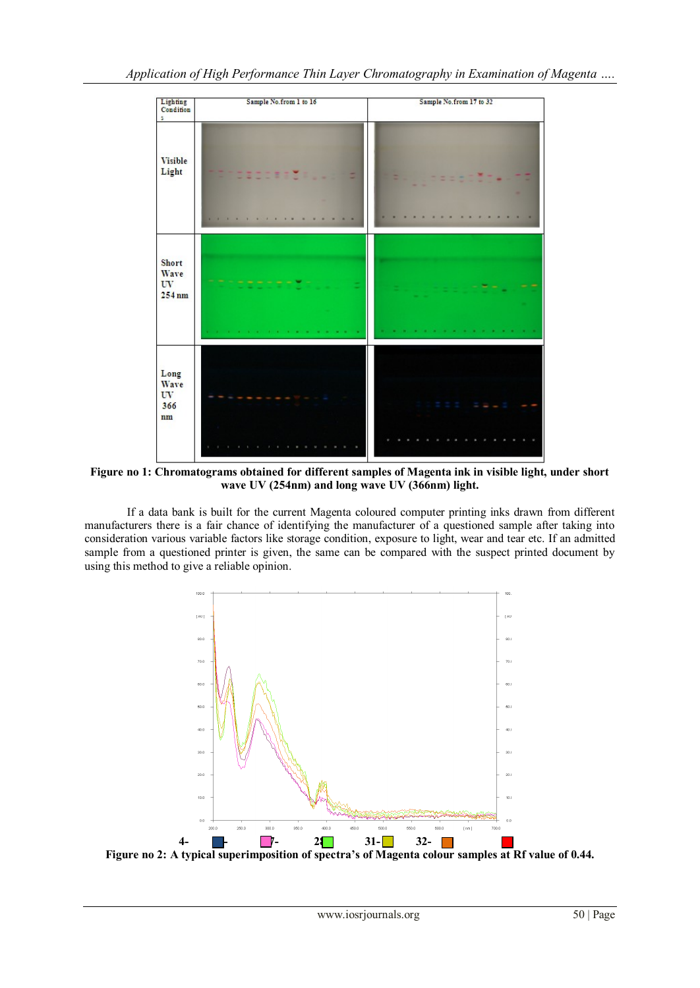

**Figure no 1: Chromatograms obtained for different samples of Magenta ink in visible light, under short wave UV (254nm) and long wave UV (366nm) light.**

If a data bank is built for the current Magenta coloured computer printing inks drawn from different manufacturers there is a fair chance of identifying the manufacturer of a questioned sample after taking into consideration various variable factors like storage condition, exposure to light, wear and tear etc. If an admitted sample from a questioned printer is given, the same can be compared with the suspect printed document by using this method to give a reliable opinion.



**Figure no 2: A typical superimposition of spectra's of Magenta colour samples at Rf value of 0.44.**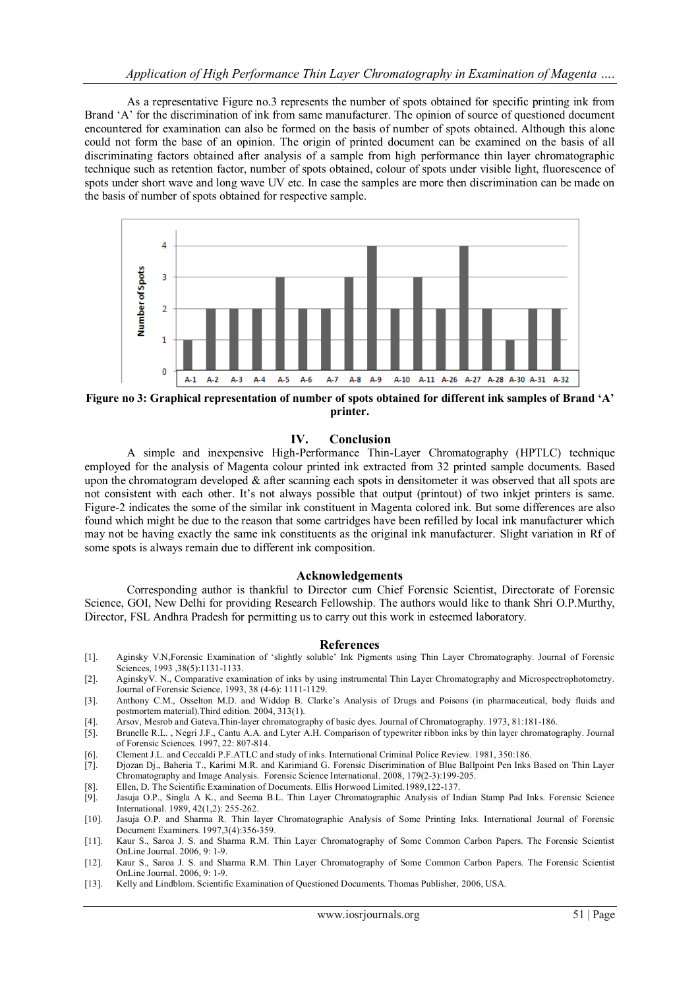As a representative Figure no.3 represents the number of spots obtained for specific printing ink from Brand 'A' for the discrimination of ink from same manufacturer. The opinion of source of questioned document encountered for examination can also be formed on the basis of number of spots obtained. Although this alone could not form the base of an opinion. The origin of printed document can be examined on the basis of all discriminating factors obtained after analysis of a sample from high performance thin layer chromatographic technique such as retention factor, number of spots obtained, colour of spots under visible light, fluorescence of spots under short wave and long wave UV etc. In case the samples are more then discrimination can be made on the basis of number of spots obtained for respective sample.



**Figure no 3: Graphical representation of number of spots obtained for different ink samples of Brand 'A' printer.**

### **IV. Conclusion**

A simple and inexpensive High-Performance Thin-Layer Chromatography (HPTLC) technique employed for the analysis of Magenta colour printed ink extracted from 32 printed sample documents. Based upon the chromatogram developed  $\&$  after scanning each spots in densitometer it was observed that all spots are not consistent with each other. It's not always possible that output (printout) of two inkjet printers is same. Figure-2 indicates the some of the similar ink constituent in Magenta colored ink. But some differences are also found which might be due to the reason that some cartridges have been refilled by local ink manufacturer which may not be having exactly the same ink constituents as the original ink manufacturer. Slight variation in Rf of some spots is always remain due to different ink composition.

#### **Acknowledgements**

Corresponding author is thankful to Director cum Chief Forensic Scientist, Directorate of Forensic Science, GOI, New Delhi for providing Research Fellowship. The authors would like to thank Shri O.P.Murthy, Director, FSL Andhra Pradesh for permitting us to carry out this work in esteemed laboratory.

#### **References**

- [1]. Aginsky V.N,Forensic Examination of 'slightly soluble' Ink Pigments using Thin Layer Chromatography. Journal of Forensic Sciences, 1993 ,38(5):1131-1133.
- [2]. AginskyV. N., Comparative examination of inks by using instrumental Thin Layer Chromatography and Microspectrophotometry. Journal of Forensic Science, 1993, 38 (4-6): 1111-1129.
- [3]. Anthony C.M., Osselton M.D. and Widdop B. Clarke's Analysis of Drugs and Poisons (in pharmaceutical, body fluids and postmortem material).Third edition. 2004, 313(1).
- [4]. Arsov, Mesrob and Gateva.Thin-layer chromatography of basic dyes. Journal of Chromatography. 1973, 81:181-186.
- [5]. Brunelle R.L. , Negri J.F., Cantu A.A. and Lyter A.H. Comparison of typewriter ribbon inks by thin layer chromatography. Journal of Forensic Sciences. 1997, 22: 807-814.
- [6]. Clement J.L. and Ceccaldi P.F.ATLC and study of inks. International Criminal Police Review. 1981, 350:186.
- [7]. Djozan Dj., Baheria T., Karimi M.R. and Karimiand G. Forensic Discrimination of Blue Ballpoint Pen Inks Based on Thin Layer Chromatography and Image Analysis. Forensic Science International. 2008, 179(2-3):199-205.
- [8]. Ellen, D. The Scientific Examination of Documents. Ellis Horwood Limited.1989,122-137.
- [9]. Jasuja O.P., Singla A K., and Seema B.L. Thin Layer Chromatographic Analysis of Indian Stamp Pad Inks. Forensic Science International. 1989, 42(1,2): 255-262.
- [10]. Jasuja O.P. and Sharma R. Thin layer Chromatographic Analysis of Some Printing Inks. International Journal of Forensic Document Examiners. 1997,3(4):356-359.
- [11]. Kaur S., Saroa J. S. and Sharma R.M. Thin Layer Chromatography of Some Common Carbon Papers. The Forensic Scientist OnLine Journal. 2006, 9: 1-9.
- [12]. Kaur S., Saroa J. S. and Sharma R.M. Thin Layer Chromatography of Some Common Carbon Papers. The Forensic Scientist OnLine Journal. 2006, 9: 1-9.
- [13]. Kelly and Lindblom. Scientific Examination of Questioned Documents. Thomas Publisher, 2006, USA.